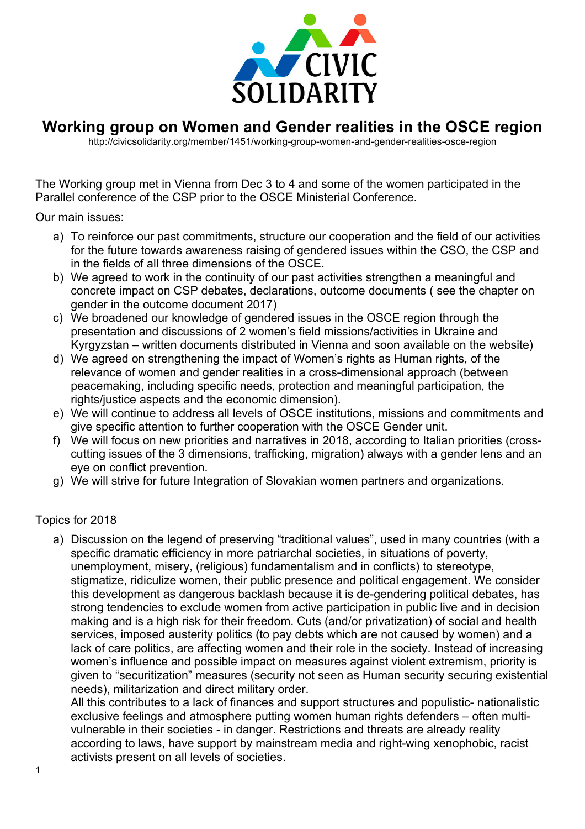

## **Working group on Women and Gender realities in the OSCE region**

http://civicsolidarity.org/member/1451/working-group-women-and-gender-realities-osce-region

The Working group met in Vienna from Dec 3 to 4 and some of the women participated in the Parallel conference of the CSP prior to the OSCE Ministerial Conference.

Our main issues:

- a) To reinforce our past commitments, structure our cooperation and the field of our activities for the future towards awareness raising of gendered issues within the CSO, the CSP and in the fields of all three dimensions of the OSCE.
- b) We agreed to work in the continuity of our past activities strengthen a meaningful and concrete impact on CSP debates, declarations, outcome documents ( see the chapter on gender in the outcome document 2017)
- c) We broadened our knowledge of gendered issues in the OSCE region through the presentation and discussions of 2 women's field missions/activities in Ukraine and Kyrgyzstan – written documents distributed in Vienna and soon available on the website)
- d) We agreed on strengthening the impact of Women's rights as Human rights, of the relevance of women and gender realities in a cross-dimensional approach (between peacemaking, including specific needs, protection and meaningful participation, the rights/justice aspects and the economic dimension).
- e) We will continue to address all levels of OSCE institutions, missions and commitments and give specific attention to further cooperation with the OSCE Gender unit.
- f) We will focus on new priorities and narratives in 2018, according to Italian priorities (crosscutting issues of the 3 dimensions, trafficking, migration) always with a gender lens and an eye on conflict prevention.
- g) We will strive for future Integration of Slovakian women partners and organizations.

## Topics for 2018

a) Discussion on the legend of preserving "traditional values", used in many countries (with a specific dramatic efficiency in more patriarchal societies, in situations of poverty, unemployment, misery, (religious) fundamentalism and in conflicts) to stereotype, stigmatize, ridiculize women, their public presence and political engagement. We consider this development as dangerous backlash because it is de-gendering political debates, has strong tendencies to exclude women from active participation in public live and in decision making and is a high risk for their freedom. Cuts (and/or privatization) of social and health services, imposed austerity politics (to pay debts which are not caused by women) and a lack of care politics, are affecting women and their role in the society. Instead of increasing women's influence and possible impact on measures against violent extremism, priority is given to "securitization" measures (security not seen as Human security securing existential needs), militarization and direct military order.

All this contributes to a lack of finances and support structures and populistic- nationalistic exclusive feelings and atmosphere putting women human rights defenders – often multivulnerable in their societies - in danger. Restrictions and threats are already reality according to laws, have support by mainstream media and right-wing xenophobic, racist activists present on all levels of societies.